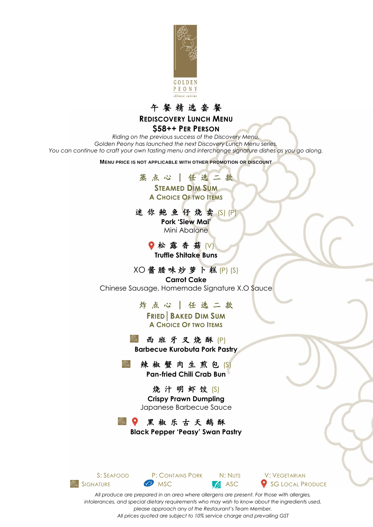

#### 午 餐 精 选 套 餐 **REDISCOVERY LUNCH MENU**

#### **\$58++ PER PERSON**

*Riding on the previous success of the Discovery Menu, Golden Peony has launched the next Discovery Lunch Menu series. You can continue to craft your own tasting menu and interchange signature dishes as you go along.*

**MENU PRICE IS NOT APPLICABLE WITH OTHER PROMOTION OR DISCOUNT**



迷 你 鲍 鱼 仔 烧 卖 (S) (P) **Pork 'Siew Mai'** Mini Abalone

> ● 松露香菇 (V) **Truffle Shitake Buns**

XO 酱 腊 味 炒 萝 卜 糕 (P) (S) **Carrot Cake** Chinese Sausage, Homemade Signature X.O Sauce

> 炸 点 心 │ 任 选 二 款 **FRIED│BAKED DIM SUM A CHOICE OF TWO ITEMS**

西 班 牙 叉 烧 酥 (P) **Barbecue Kurobuta Pork Pastry**

辣椒蟹肉生煎包(S) **Pan-fried Chili Crab Bun**

> 烧汁明虾饺(S) **Crispy Prawn Dumpling** Japanese Barbecue Sauce

 $\mathscr{E}_{\infty}$  of  $\bullet$ 黑椒乐古天鹅酥

**Black Pepper 'Peasy' Swan Pastry**



S: SEAFOOD P: CONTAINS PORK N: NUTS V: VEGETARIAN **SIGNATURE MSC** MSC **ASC** SG LOCAL PRODUCE

*All produce are prepared in an area where allergens are present. For those with allergies, intolerances, and special dietary requirements who may wish to know about the ingredients used, please approach any of the Restaurant's Team Member. All prices quoted are subject to 10% service charge and prevailing GST*